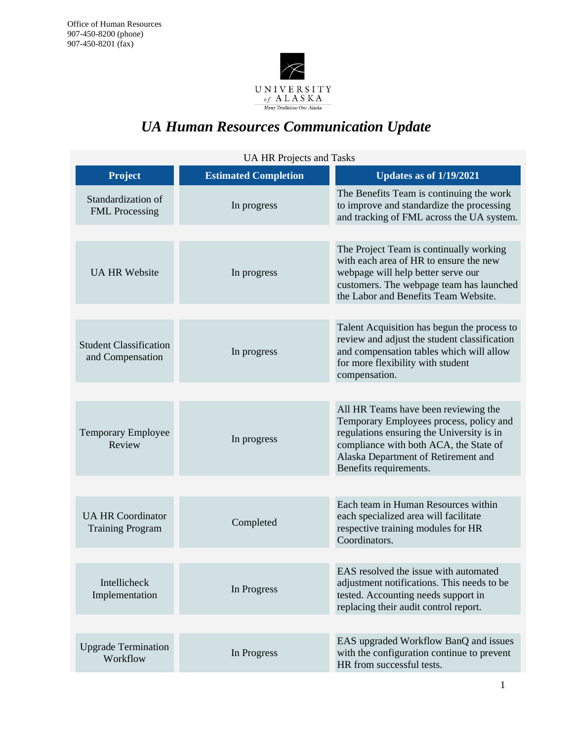

# *UA Human Resources Communication Update*

| <b>UA HR Projects and Tasks</b>                     |                             |                                                                                                                                                                                                                                         |
|-----------------------------------------------------|-----------------------------|-----------------------------------------------------------------------------------------------------------------------------------------------------------------------------------------------------------------------------------------|
| <b>Project</b>                                      | <b>Estimated Completion</b> | <b>Updates as of 1/19/2021</b>                                                                                                                                                                                                          |
| Standardization of<br><b>FML</b> Processing         | In progress                 | The Benefits Team is continuing the work<br>to improve and standardize the processing<br>and tracking of FML across the UA system.                                                                                                      |
| <b>UA HR Website</b>                                | In progress                 | The Project Team is continually working<br>with each area of HR to ensure the new<br>webpage will help better serve our<br>customers. The webpage team has launched<br>the Labor and Benefits Team Website.                             |
| <b>Student Classification</b><br>and Compensation   | In progress                 | Talent Acquisition has begun the process to<br>review and adjust the student classification<br>and compensation tables which will allow<br>for more flexibility with student<br>compensation.                                           |
|                                                     |                             |                                                                                                                                                                                                                                         |
| Temporary Employee<br>Review                        | In progress                 | All HR Teams have been reviewing the<br>Temporary Employees process, policy and<br>regulations ensuring the University is in<br>compliance with both ACA, the State of<br>Alaska Department of Retirement and<br>Benefits requirements. |
|                                                     |                             |                                                                                                                                                                                                                                         |
| <b>UA HR Coordinator</b><br><b>Training Program</b> | Completed                   | Each team in Human Resources within<br>each specialized area will facilitate<br>respective training modules for HR<br>Coordinators.                                                                                                     |
|                                                     |                             |                                                                                                                                                                                                                                         |
| Intellicheck<br>Implementation                      | In Progress                 | EAS resolved the issue with automated<br>adjustment notifications. This needs to be<br>tested. Accounting needs support in<br>replacing their audit control report.                                                                     |
|                                                     |                             |                                                                                                                                                                                                                                         |
| <b>Upgrade Termination</b><br>Workflow              | In Progress                 | EAS upgraded Workflow BanQ and issues<br>with the configuration continue to prevent<br>HR from successful tests.                                                                                                                        |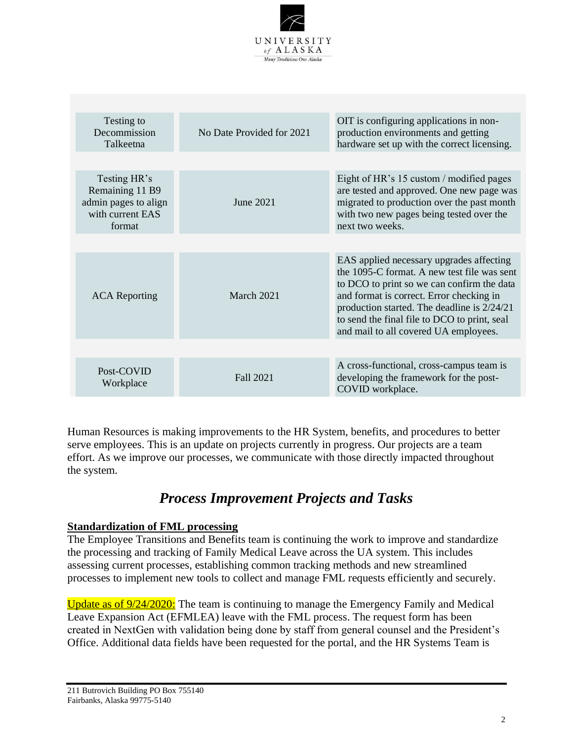

| Testing to<br>Decommission<br>Talkeetna                                               | No Date Provided for 2021 | OIT is configuring applications in non-<br>production environments and getting<br>hardware set up with the correct licensing.                                                                                                                                                                                             |
|---------------------------------------------------------------------------------------|---------------------------|---------------------------------------------------------------------------------------------------------------------------------------------------------------------------------------------------------------------------------------------------------------------------------------------------------------------------|
|                                                                                       |                           |                                                                                                                                                                                                                                                                                                                           |
| Testing HR's<br>Remaining 11 B9<br>admin pages to align<br>with current EAS<br>format | June 2021                 | Eight of HR's 15 custom / modified pages<br>are tested and approved. One new page was<br>migrated to production over the past month<br>with two new pages being tested over the<br>next two weeks.                                                                                                                        |
|                                                                                       |                           |                                                                                                                                                                                                                                                                                                                           |
| <b>ACA</b> Reporting                                                                  | March 2021                | EAS applied necessary upgrades affecting<br>the 1095-C format. A new test file was sent<br>to DCO to print so we can confirm the data<br>and format is correct. Error checking in<br>production started. The deadline is 2/24/21<br>to send the final file to DCO to print, seal<br>and mail to all covered UA employees. |
|                                                                                       |                           |                                                                                                                                                                                                                                                                                                                           |
| Post-COVID<br>Workplace                                                               | <b>Fall 2021</b>          | A cross-functional, cross-campus team is<br>developing the framework for the post-<br>COVID workplace.                                                                                                                                                                                                                    |

Human Resources is making improvements to the HR System, benefits, and procedures to better serve employees. This is an update on projects currently in progress. Our projects are a team effort. As we improve our processes, we communicate with those directly impacted throughout the system.

# *Process Improvement Projects and Tasks*

### **Standardization of FML processing**

The Employee Transitions and Benefits team is continuing the work to improve and standardize the processing and tracking of Family Medical Leave across the UA system. This includes assessing current processes, establishing common tracking methods and new streamlined processes to implement new tools to collect and manage FML requests efficiently and securely.

Update as of 9/24/2020: The team is continuing to manage the Emergency Family and Medical Leave Expansion Act (EFMLEA) leave with the FML process. The request form has been created in NextGen with validation being done by staff from general counsel and the President's Office. Additional data fields have been requested for the portal, and the HR Systems Team is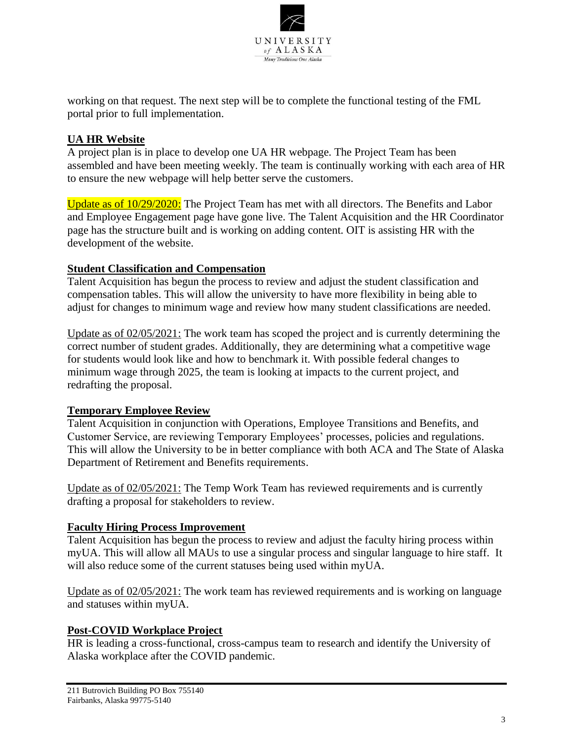

working on that request. The next step will be to complete the functional testing of the FML portal prior to full implementation.

# **UA HR Website**

A project plan is in place to develop one UA HR webpage. The Project Team has been assembled and have been meeting weekly. The team is continually working with each area of HR to ensure the new webpage will help better serve the customers.

Update as of  $10/29/2020$ : The Project Team has met with all directors. The Benefits and Labor and Employee Engagement page have gone live. The Talent Acquisition and the HR Coordinator page has the structure built and is working on adding content. OIT is assisting HR with the development of the website.

#### **Student Classification and Compensation**

Talent Acquisition has begun the process to review and adjust the student classification and compensation tables. This will allow the university to have more flexibility in being able to adjust for changes to minimum wage and review how many student classifications are needed.

Update as of 02/05/2021: The work team has scoped the project and is currently determining the correct number of student grades. Additionally, they are determining what a competitive wage for students would look like and how to benchmark it. With possible federal changes to minimum wage through 2025, the team is looking at impacts to the current project, and redrafting the proposal.

### **Temporary Employee Review**

Talent Acquisition in conjunction with Operations, Employee Transitions and Benefits, and Customer Service, are reviewing Temporary Employees' processes, policies and regulations. This will allow the University to be in better compliance with both ACA and The State of Alaska Department of Retirement and Benefits requirements.

Update as of 02/05/2021: The Temp Work Team has reviewed requirements and is currently drafting a proposal for stakeholders to review.

### **Faculty Hiring Process Improvement**

Talent Acquisition has begun the process to review and adjust the faculty hiring process within myUA. This will allow all MAUs to use a singular process and singular language to hire staff. It will also reduce some of the current statuses being used within myUA.

Update as of 02/05/2021: The work team has reviewed requirements and is working on language and statuses within myUA.

#### **Post-COVID Workplace Project**

HR is leading a cross-functional, cross-campus team to research and identify the University of Alaska workplace after the COVID pandemic.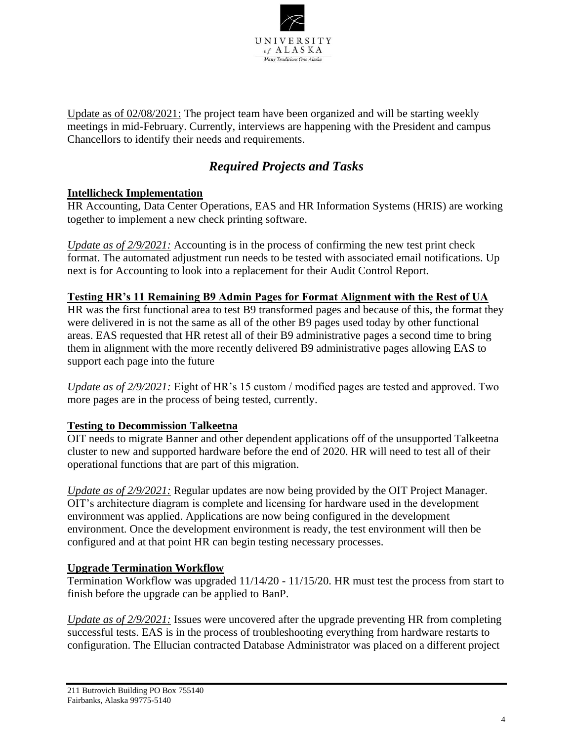

Update as of 02/08/2021: The project team have been organized and will be starting weekly meetings in mid-February. Currently, interviews are happening with the President and campus Chancellors to identify their needs and requirements.

# *Required Projects and Tasks*

### **Intellicheck Implementation**

HR Accounting, Data Center Operations, EAS and HR Information Systems (HRIS) are working together to implement a new check printing software.

*Update as of 2/9/2021:* Accounting is in the process of confirming the new test print check format. The automated adjustment run needs to be tested with associated email notifications. Up next is for Accounting to look into a replacement for their Audit Control Report.

### **Testing HR's 11 Remaining B9 Admin Pages for Format Alignment with the Rest of UA**

HR was the first functional area to test B9 transformed pages and because of this, the format they were delivered in is not the same as all of the other B9 pages used today by other functional areas. EAS requested that HR retest all of their B9 administrative pages a second time to bring them in alignment with the more recently delivered B9 administrative pages allowing EAS to support each page into the future

*Update as of 2/9/2021:* Eight of HR's 15 custom / modified pages are tested and approved. Two more pages are in the process of being tested, currently.

# **Testing to Decommission Talkeetna**

OIT needs to migrate Banner and other dependent applications off of the unsupported Talkeetna cluster to new and supported hardware before the end of 2020. HR will need to test all of their operational functions that are part of this migration.

*Update as of 2/9/2021:* Regular updates are now being provided by the OIT Project Manager. OIT's architecture diagram is complete and licensing for hardware used in the development environment was applied. Applications are now being configured in the development environment. Once the development environment is ready, the test environment will then be configured and at that point HR can begin testing necessary processes.

### **Upgrade Termination Workflow**

Termination Workflow was upgraded 11/14/20 - 11/15/20. HR must test the process from start to finish before the upgrade can be applied to BanP.

*Update as of 2/9/2021:* Issues were uncovered after the upgrade preventing HR from completing successful tests. EAS is in the process of troubleshooting everything from hardware restarts to configuration. The Ellucian contracted Database Administrator was placed on a different project